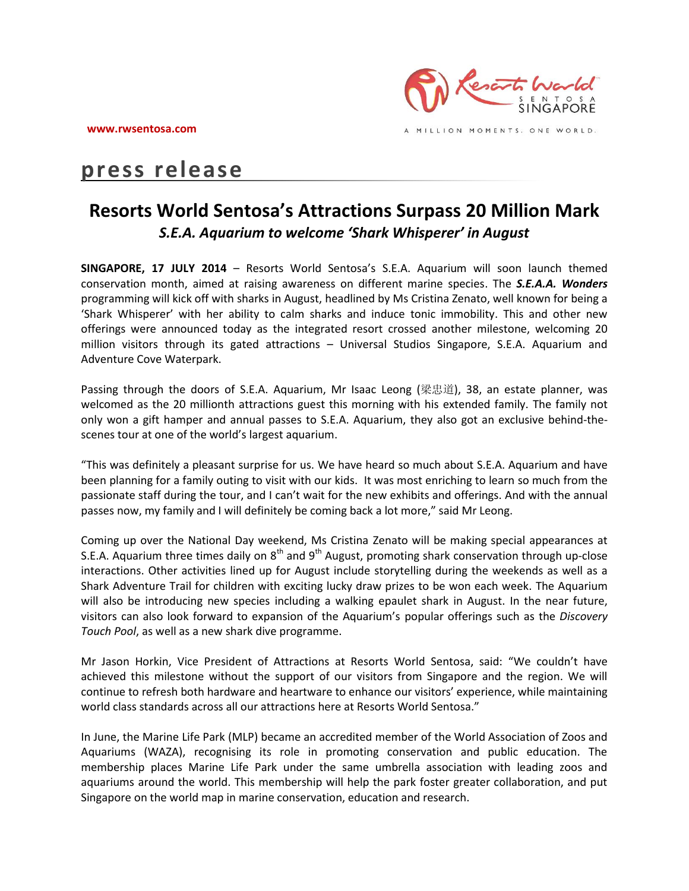

MILLION MOMENTS. ONE WORLD.

# **press release**

## **Resorts World Sentosa's Attractions Surpass 20 Million Mark** *S.E.A. Aquarium to welcome 'Shark Whisperer' in August*

**SINGAPORE, 17 JULY 2014** – Resorts World Sentosa's S.E.A. Aquarium will soon launch themed conservation month, aimed at raising awareness on different marine species. The *S.E.A.A. Wonders*  programming will kick off with sharks in August, headlined by Ms Cristina Zenato, well known for being a 'Shark Whisperer' with her ability to calm sharks and induce tonic immobility. This and other new offerings were announced today as the integrated resort crossed another milestone, welcoming 20 million visitors through its gated attractions – Universal Studios Singapore, S.E.A. Aquarium and Adventure Cove Waterpark.

Passing through the doors of S.E.A. Aquarium, Mr Isaac Leong (梁忠道), 38, an estate planner, was welcomed as the 20 millionth attractions guest this morning with his extended family. The family not only won a gift hamper and annual passes to S.E.A. Aquarium, they also got an exclusive behind-thescenes tour at one of the world's largest aquarium.

"This was definitely a pleasant surprise for us. We have heard so much about S.E.A. Aquarium and have been planning for a family outing to visit with our kids. It was most enriching to learn so much from the passionate staff during the tour, and I can't wait for the new exhibits and offerings. And with the annual passes now, my family and I will definitely be coming back a lot more," said Mr Leong.

Coming up over the National Day weekend, Ms Cristina Zenato will be making special appearances at S.E.A. Aquarium three times daily on  $8<sup>th</sup>$  and  $9<sup>th</sup>$  August, promoting shark conservation through up-close interactions. Other activities lined up for August include storytelling during the weekends as well as a Shark Adventure Trail for children with exciting lucky draw prizes to be won each week. The Aquarium will also be introducing new species including a walking epaulet shark in August. In the near future, visitors can also look forward to expansion of the Aquarium's popular offerings such as the *Discovery Touch Pool*, as well as a new shark dive programme.

Mr Jason Horkin, Vice President of Attractions at Resorts World Sentosa, said: "We couldn't have achieved this milestone without the support of our visitors from Singapore and the region. We will continue to refresh both hardware and heartware to enhance our visitors' experience, while maintaining world class standards across all our attractions here at Resorts World Sentosa."

In June, the Marine Life Park (MLP) became an accredited member of the World Association of Zoos and Aquariums (WAZA), recognising its role in promoting conservation and public education. The membership places Marine Life Park under the same umbrella association with leading zoos and aquariums around the world. This membership will help the park foster greater collaboration, and put Singapore on the world map in marine conservation, education and research.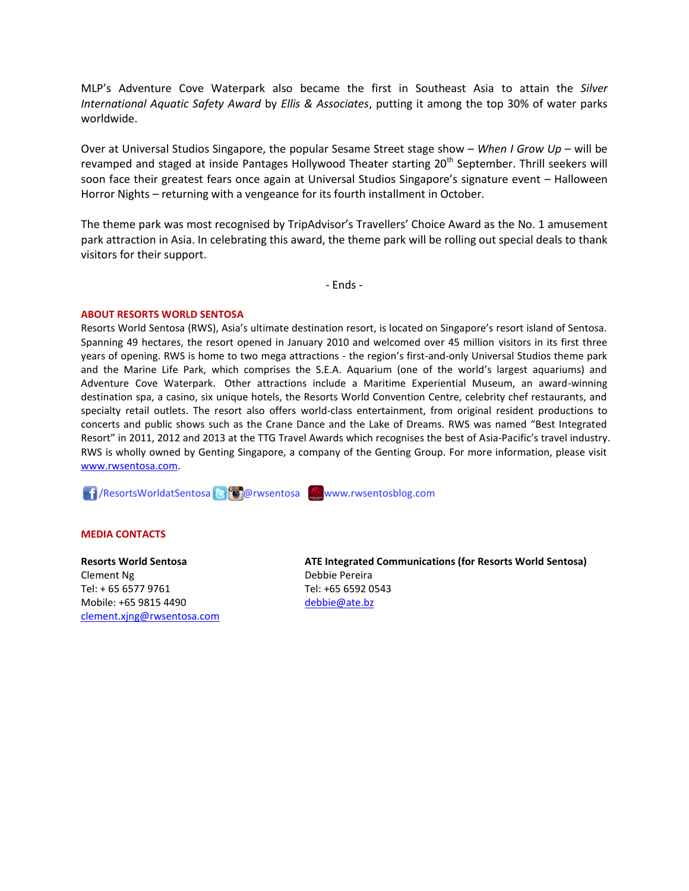MLP's Adventure Cove Waterpark also became the first in Southeast Asia to attain the *Silver International Aquatic Safety Award* by *Ellis & Associates*, putting it among the top 30% of water parks worldwide.

Over at Universal Studios Singapore, the popular Sesame Street stage show – *When I Grow Up* – will be revamped and staged at inside Pantages Hollywood Theater starting 20<sup>th</sup> September. Thrill seekers will soon face their greatest fears once again at Universal Studios Singapore's signature event – Halloween Horror Nights – returning with a vengeance for its fourth installment in October.

The theme park was most recognised by TripAdvisor's Travellers' Choice Award as the No. 1 amusement park attraction in Asia. In celebrating this award, the theme park will be rolling out special deals to thank visitors for their support.

- Ends -

#### **ABOUT RESORTS WORLD SENTOSA**

Resorts World Sentosa (RWS), Asia's ultimate destination resort, is located on Singapore's resort island of Sentosa. Spanning 49 hectares, the resort opened in January 2010 and welcomed over 45 million visitors in its first three years of opening. RWS is home to two mega attractions - the region's first-and-only Universal Studios theme park and the Marine Life Park, which comprises the S.E.A. Aquarium (one of the world's largest aquariums) and Adventure Cove Waterpark. Other attractions include a Maritime Experiential Museum, an award-winning destination spa, a casino, six unique hotels, the Resorts World Convention Centre, celebrity chef restaurants, and specialty retail outlets. The resort also offers world-class entertainment, from original resident productions to concerts and public shows such as the Crane Dance and the Lake of Dreams. RWS was named "Best Integrated Resort" in 2011, 2012 and 2013 at the TTG Travel Awards which recognises the best of Asia-Pacific's travel industry. RWS is wholly owned by Genting Singapore, a company of the Genting Group. For more information, please visit [www.rwsentosa.com.](http://www.rwsentosa.com/)

**11**/ResortsWorldatSentosa B**oo**rwsentosa Www.rwsentosblog.com

#### **MEDIA CONTACTS**

### **Resorts World Sentosa** Clement Ng Tel: + 65 6577 9761 Mobile: +65 9815 4490 [clement.xjng@rwsentosa.com](mailto:clement.xjng@rwsentosa.com)

**ATE Integrated Communications (for Resorts World Sentosa)** Debbie Pereira Tel: +65 6592 0543 [debbie@ate.bz](mailto:debbie@ate.bz)